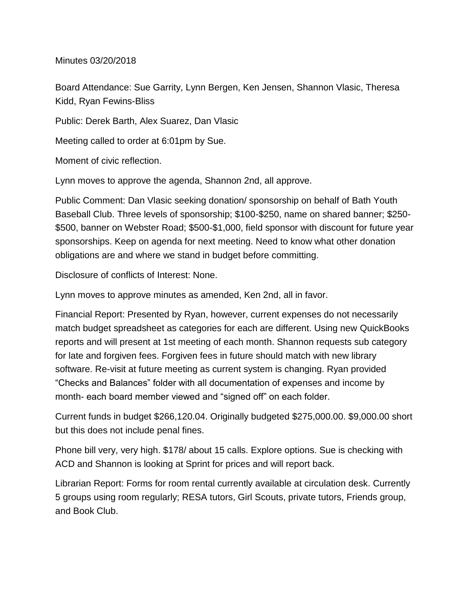Minutes 03/20/2018

Board Attendance: Sue Garrity, Lynn Bergen, Ken Jensen, Shannon Vlasic, Theresa Kidd, Ryan Fewins-Bliss

Public: Derek Barth, Alex Suarez, Dan Vlasic

Meeting called to order at 6:01pm by Sue.

Moment of civic reflection.

Lynn moves to approve the agenda, Shannon 2nd, all approve.

Public Comment: Dan Vlasic seeking donation/ sponsorship on behalf of Bath Youth Baseball Club. Three levels of sponsorship; \$100-\$250, name on shared banner; \$250- \$500, banner on Webster Road; \$500-\$1,000, field sponsor with discount for future year sponsorships. Keep on agenda for next meeting. Need to know what other donation obligations are and where we stand in budget before committing.

Disclosure of conflicts of Interest: None.

Lynn moves to approve minutes as amended, Ken 2nd, all in favor.

Financial Report: Presented by Ryan, however, current expenses do not necessarily match budget spreadsheet as categories for each are different. Using new QuickBooks reports and will present at 1st meeting of each month. Shannon requests sub category for late and forgiven fees. Forgiven fees in future should match with new library software. Re-visit at future meeting as current system is changing. Ryan provided "Checks and Balances" folder with all documentation of expenses and income by month- each board member viewed and "signed off" on each folder.

Current funds in budget \$266,120.04. Originally budgeted \$275,000.00. \$9,000.00 short but this does not include penal fines.

Phone bill very, very high. \$178/ about 15 calls. Explore options. Sue is checking with ACD and Shannon is looking at Sprint for prices and will report back.

Librarian Report: Forms for room rental currently available at circulation desk. Currently 5 groups using room regularly; RESA tutors, Girl Scouts, private tutors, Friends group, and Book Club.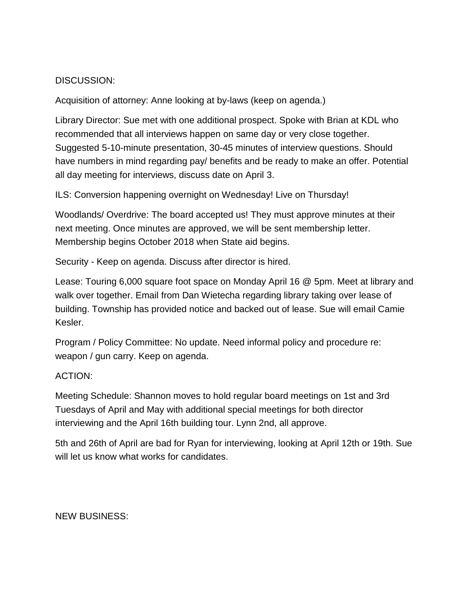## DISCUSSION:

Acquisition of attorney: Anne looking at by-laws (keep on agenda.)

Library Director: Sue met with one additional prospect. Spoke with Brian at KDL who recommended that all interviews happen on same day or very close together. Suggested 5-10-minute presentation, 30-45 minutes of interview questions. Should have numbers in mind regarding pay/ benefits and be ready to make an offer. Potential all day meeting for interviews, discuss date on April 3.

ILS: Conversion happening overnight on Wednesday! Live on Thursday!

Woodlands/ Overdrive: The board accepted us! They must approve minutes at their next meeting. Once minutes are approved, we will be sent membership letter. Membership begins October 2018 when State aid begins.

Security - Keep on agenda. Discuss after director is hired.

Lease: Touring 6,000 square foot space on Monday April 16 @ 5pm. Meet at library and walk over together. Email from Dan Wietecha regarding library taking over lease of building. Township has provided notice and backed out of lease. Sue will email Camie Kesler.

Program / Policy Committee: No update. Need informal policy and procedure re: weapon / gun carry. Keep on agenda.

## ACTION:

Meeting Schedule: Shannon moves to hold regular board meetings on 1st and 3rd Tuesdays of April and May with additional special meetings for both director interviewing and the April 16th building tour. Lynn 2nd, all approve.

5th and 26th of April are bad for Ryan for interviewing, looking at April 12th or 19th. Sue will let us know what works for candidates.

NEW BUSINESS: